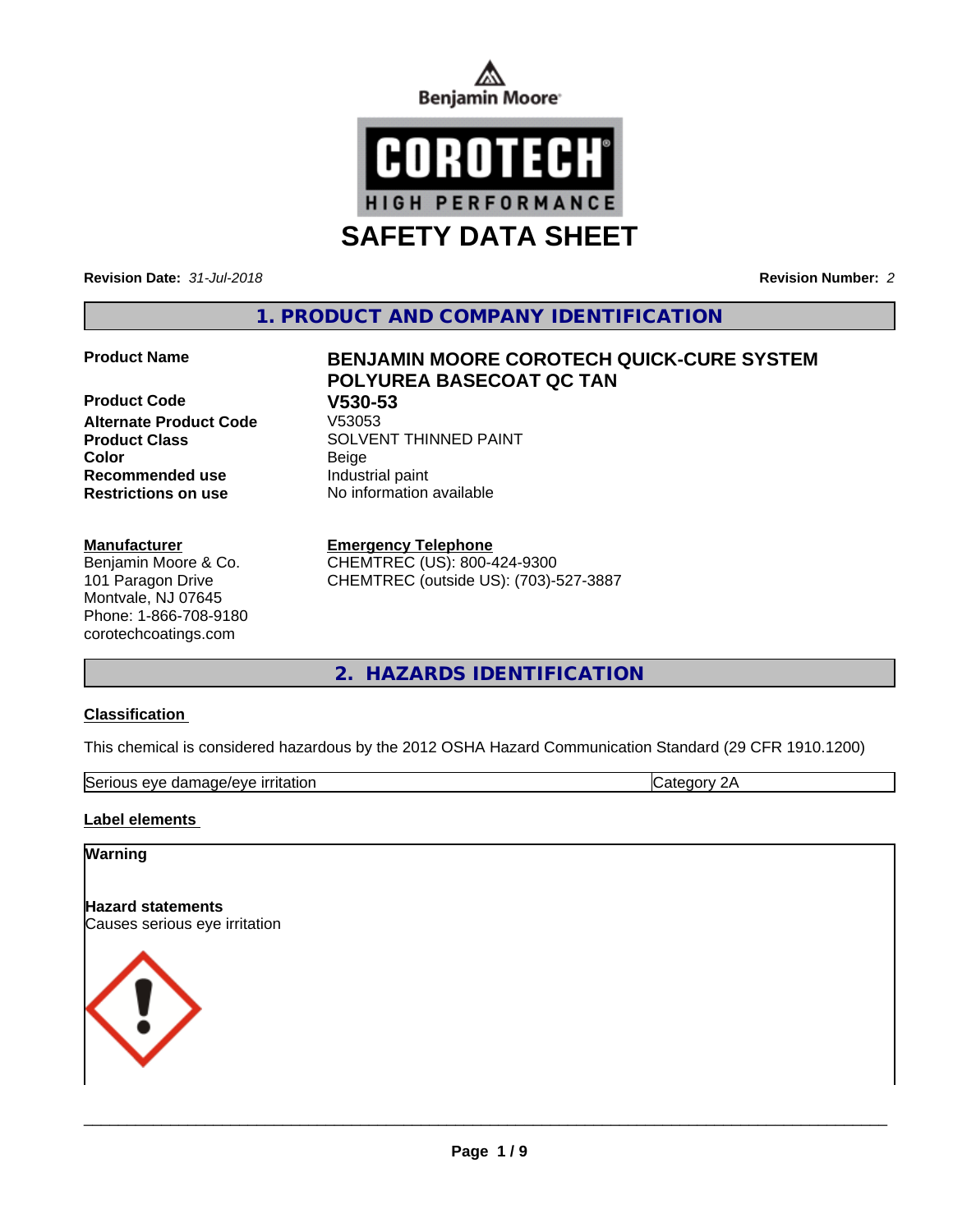



**SAFETY DATA SHEET**

**Revision Date:** *31-Jul-2018* **Revision Number:** *2*

**1. PRODUCT AND COMPANY IDENTIFICATION**

**Product Code 61 V530-53**<br>Alternate Product Code 61 V53053 **Alternate Product Code Color** Beige **Recommended use** Industrial paint **Restrictions on use** No information available

**Manufacturer**

Benjamin Moore & Co. 101 Paragon Drive Montvale, NJ 07645 Phone: 1-866-708-9180 corotechcoatings.com

# **Product Name BENJAMIN MOORE COROTECH QUICK-CURE SYSTEM POLYUREA BASECOAT QC TAN Product Class SOLVENT THINNED PAINT**

**Emergency Telephone**

CHEMTREC (US): 800-424-9300 CHEMTREC (outside US): (703)-527-3887

**2. HAZARDS IDENTIFICATION**

## **Classification**

This chemical is considered hazardous by the 2012 OSHA Hazard Communication Standard (29 CFR 1910.1200)

| lSer<br>$+0.05$<br>$\sim$ $\prime$<br>277<br><u>Ann</u><br>$\sim$ |  |  |
|-------------------------------------------------------------------|--|--|
|-------------------------------------------------------------------|--|--|

#### **Label elements**

# **Warning Hazard statements** Causes serious eye irritation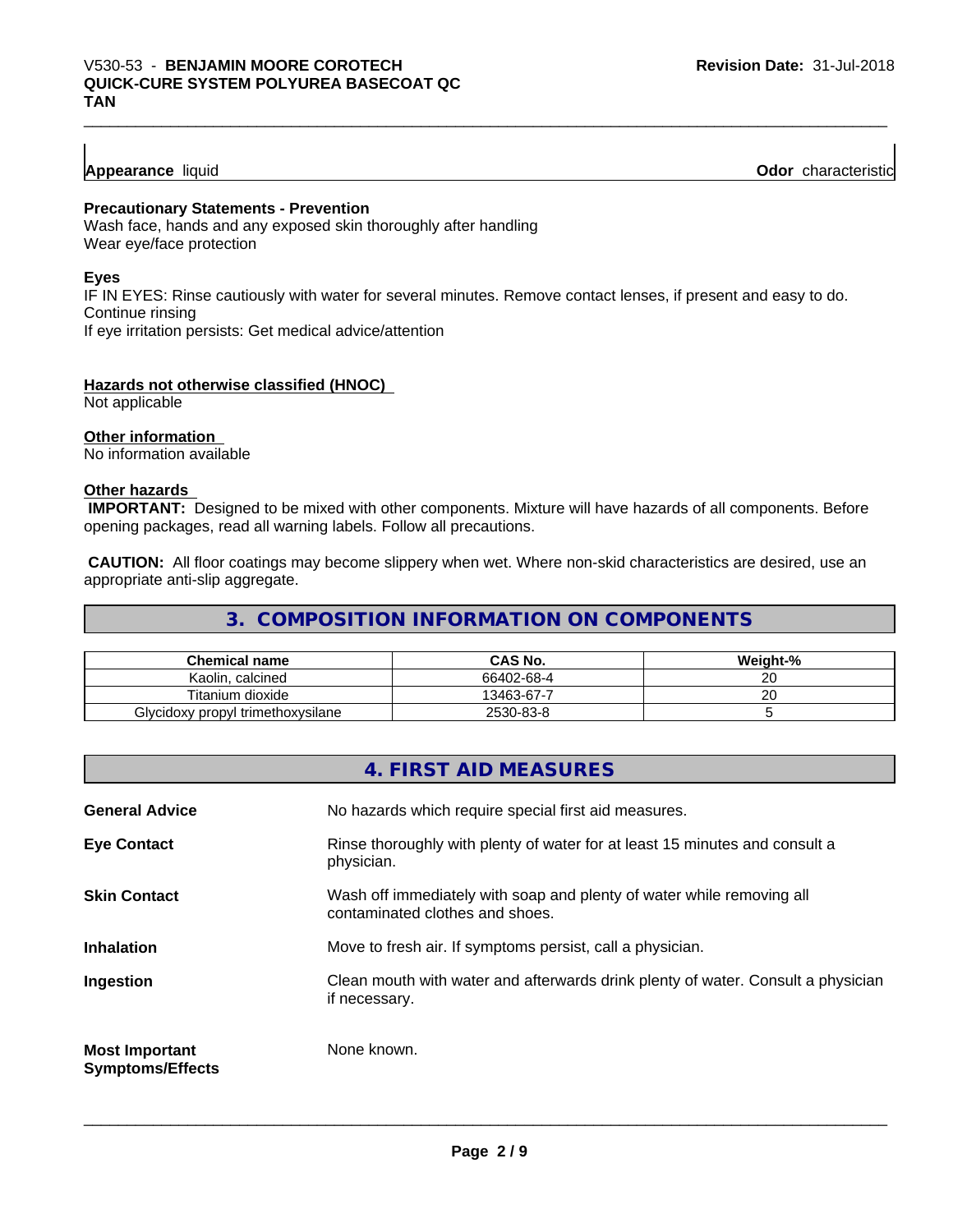## **Appearance** liquid

**Odor** characteristic

#### **Precautionary Statements - Prevention**

Wash face, hands and any exposed skin thoroughly after handling Wear eye/face protection

#### **Eyes**

IF IN EYES: Rinse cautiously with water for several minutes. Remove contact lenses, if present and easy to do. Continue rinsing If eye irritation persists: Get medical advice/attention

#### **Hazards not otherwise classified (HNOC)**

Not applicable

#### **Other information**

No information available

#### **Other hazards**

 **IMPORTANT:** Designed to be mixed with other components. Mixture will have hazards of all components. Before opening packages, read all warning labels. Follow all precautions.

 **CAUTION:** All floor coatings may become slippery when wet. Where non-skid characteristics are desired, use an appropriate anti-slip aggregate.

## **3. COMPOSITION INFORMATION ON COMPONENTS**

| <b>Chemical name</b>              | <b>CAS No.</b> | Weight-% |
|-----------------------------------|----------------|----------|
| Kaolin. calcined                  | 66402-68-4     | ~~<br>∠∪ |
| Titanium dioxide                  | 13463-67-7     | ~~<br>∠∪ |
| Glycidoxy propyl trimethoxysilane | 2530-83-8      |          |

## **4. FIRST AID MEASURES**

| <b>General Advice</b>                            | No hazards which require special first aid measures.                                                     |
|--------------------------------------------------|----------------------------------------------------------------------------------------------------------|
| <b>Eye Contact</b>                               | Rinse thoroughly with plenty of water for at least 15 minutes and consult a<br>physician.                |
| <b>Skin Contact</b>                              | Wash off immediately with soap and plenty of water while removing all<br>contaminated clothes and shoes. |
| <b>Inhalation</b>                                | Move to fresh air. If symptoms persist, call a physician.                                                |
| Ingestion                                        | Clean mouth with water and afterwards drink plenty of water. Consult a physician<br>if necessary.        |
| <b>Most Important</b><br><b>Symptoms/Effects</b> | None known.                                                                                              |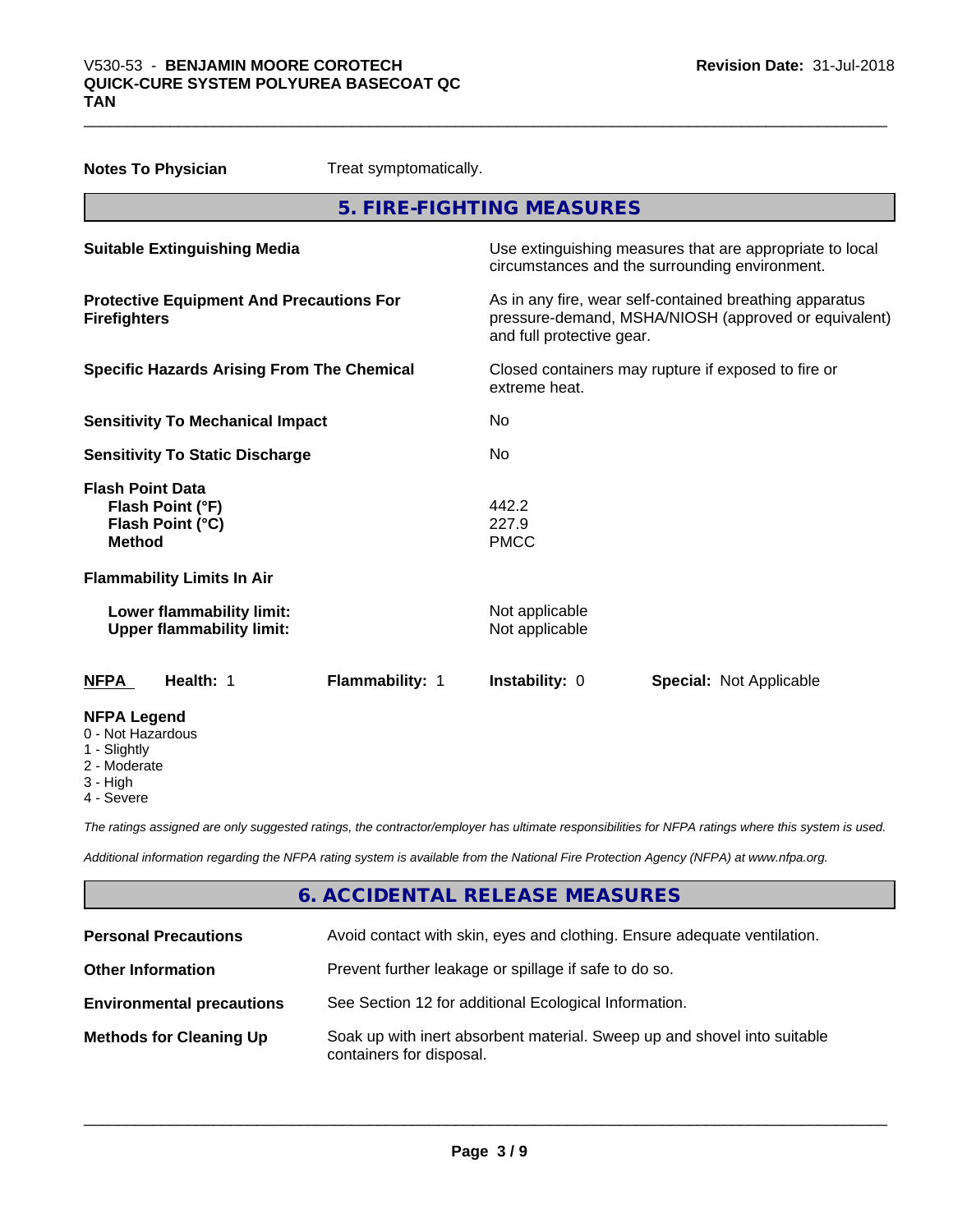| <b>Notes To Physician</b>                                                         | Treat symptomatically. |                                                                                                            |                                                                                                                 |  |
|-----------------------------------------------------------------------------------|------------------------|------------------------------------------------------------------------------------------------------------|-----------------------------------------------------------------------------------------------------------------|--|
|                                                                                   |                        | 5. FIRE-FIGHTING MEASURES                                                                                  |                                                                                                                 |  |
| <b>Suitable Extinguishing Media</b>                                               |                        | Use extinguishing measures that are appropriate to local<br>circumstances and the surrounding environment. |                                                                                                                 |  |
| <b>Protective Equipment And Precautions For</b><br><b>Firefighters</b>            |                        | and full protective gear.                                                                                  | As in any fire, wear self-contained breathing apparatus<br>pressure-demand, MSHA/NIOSH (approved or equivalent) |  |
| <b>Specific Hazards Arising From The Chemical</b>                                 |                        | extreme heat.                                                                                              | Closed containers may rupture if exposed to fire or                                                             |  |
| <b>Sensitivity To Mechanical Impact</b>                                           |                        | No                                                                                                         |                                                                                                                 |  |
| <b>Sensitivity To Static Discharge</b>                                            |                        | No.                                                                                                        |                                                                                                                 |  |
| <b>Flash Point Data</b><br>Flash Point (°F)<br>Flash Point (°C)<br><b>Method</b>  |                        | 442.2<br>227.9<br><b>PMCC</b>                                                                              |                                                                                                                 |  |
| <b>Flammability Limits In Air</b>                                                 |                        |                                                                                                            |                                                                                                                 |  |
| Lower flammability limit:<br><b>Upper flammability limit:</b>                     |                        | Not applicable<br>Not applicable                                                                           |                                                                                                                 |  |
| Health: 1<br>NFPA                                                                 | Flammability: 1        | Instability: 0                                                                                             | <b>Special: Not Applicable</b>                                                                                  |  |
| <b>NFPA Legend</b><br>0 - Not Hazardous<br>1 - Slightly<br>2 - Moderate<br>o ⊔iah |                        |                                                                                                            |                                                                                                                 |  |

3 - High 4 - Severe

*The ratings assigned are only suggested ratings, the contractor/employer has ultimate responsibilities for NFPA ratings where this system is used.*

*Additional information regarding the NFPA rating system is available from the National Fire Protection Agency (NFPA) at www.nfpa.org.*

## **6. ACCIDENTAL RELEASE MEASURES**

| <b>Personal Precautions</b>      | Avoid contact with skin, eyes and clothing. Ensure adequate ventilation.                             |
|----------------------------------|------------------------------------------------------------------------------------------------------|
| <b>Other Information</b>         | Prevent further leakage or spillage if safe to do so.                                                |
| <b>Environmental precautions</b> | See Section 12 for additional Ecological Information.                                                |
| <b>Methods for Cleaning Up</b>   | Soak up with inert absorbent material. Sweep up and shovel into suitable<br>containers for disposal. |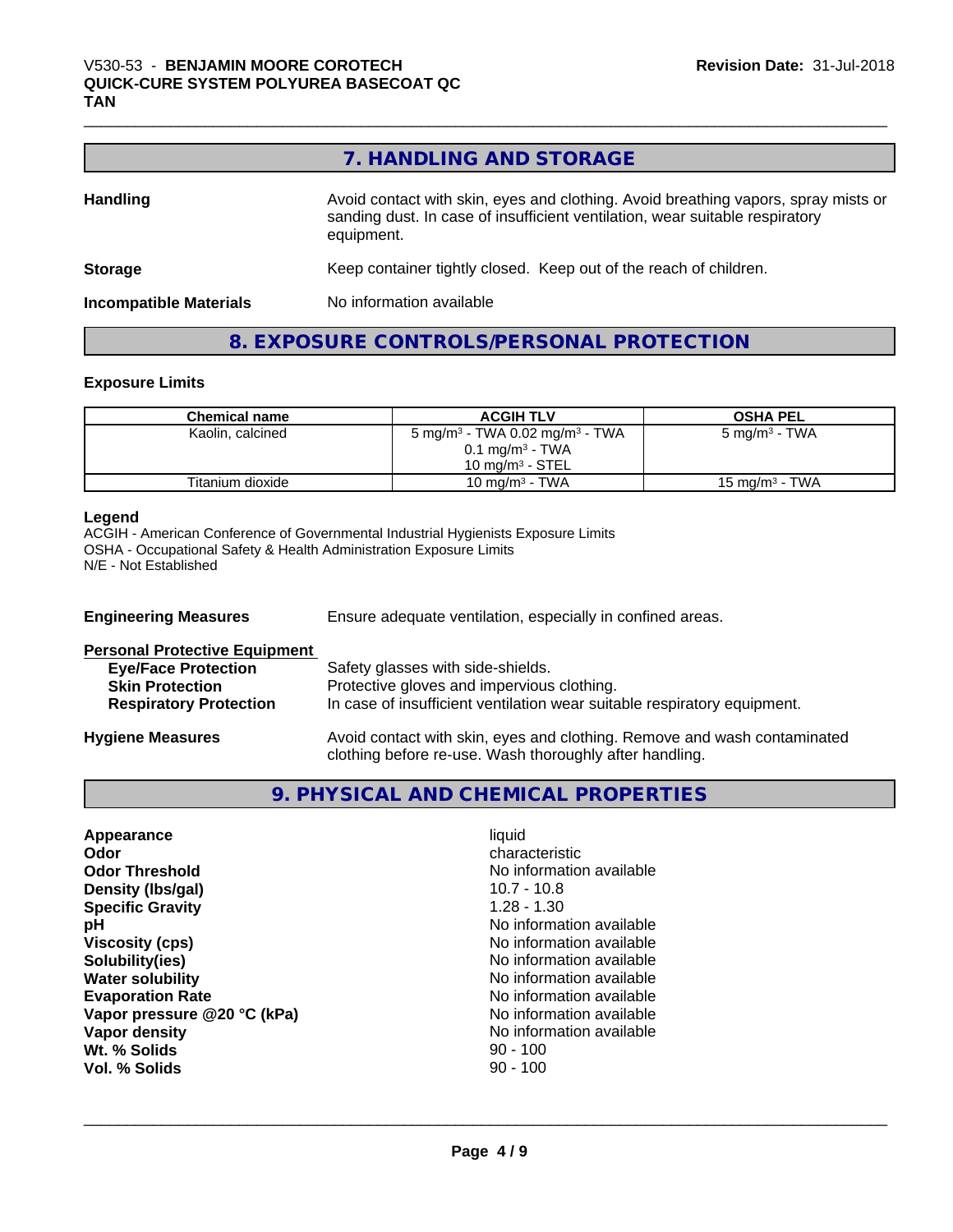## **7. HANDLING AND STORAGE**

| <b>Handling</b>               | Avoid contact with skin, eyes and clothing. Avoid breathing vapors, spray mists or<br>sanding dust. In case of insufficient ventilation, wear suitable respiratory<br>equipment. |
|-------------------------------|----------------------------------------------------------------------------------------------------------------------------------------------------------------------------------|
| <b>Storage</b>                | Keep container tightly closed. Keep out of the reach of children.                                                                                                                |
| <b>Incompatible Materials</b> | No information available                                                                                                                                                         |

## **8. EXPOSURE CONTROLS/PERSONAL PROTECTION**

## **Exposure Limits**

| <b>Chemical name</b> | <b>ACGIH TLV</b>                                       | <b>OSHA PEL</b>           |
|----------------------|--------------------------------------------------------|---------------------------|
| Kaolin, calcined     | 5 mg/m <sup>3</sup> - TWA 0.02 mg/m <sup>3</sup> - TWA | 5 mg/m <sup>3</sup> - TWA |
|                      | $0.1$ mg/m <sup>3</sup> - TWA                          |                           |
|                      | $10 \text{ mg/m}^3$ - STEL                             |                           |
| Titanium dioxide     | 10 mg/m <sup>3</sup> - TWA                             | 15 mg/m $3$ - TWA         |

#### **Legend**

ACGIH - American Conference of Governmental Industrial Hygienists Exposure Limits OSHA - Occupational Safety & Health Administration Exposure Limits N/E - Not Established

| <b>Engineering Measures</b>          | Ensure adequate ventilation, especially in confined areas.                                                                          |  |  |
|--------------------------------------|-------------------------------------------------------------------------------------------------------------------------------------|--|--|
| <b>Personal Protective Equipment</b> |                                                                                                                                     |  |  |
| <b>Eye/Face Protection</b>           | Safety glasses with side-shields.                                                                                                   |  |  |
| <b>Skin Protection</b>               | Protective gloves and impervious clothing.                                                                                          |  |  |
| <b>Respiratory Protection</b>        | In case of insufficient ventilation wear suitable respiratory equipment.                                                            |  |  |
| <b>Hygiene Measures</b>              | Avoid contact with skin, eyes and clothing. Remove and wash contaminated<br>clothing before re-use. Wash thoroughly after handling. |  |  |

## **9. PHYSICAL AND CHEMICAL PROPERTIES**

| Appearance                  | liquid                   |
|-----------------------------|--------------------------|
| Odor                        | characteristic           |
| <b>Odor Threshold</b>       | No information available |
| Density (Ibs/gal)           | $10.7 - 10.8$            |
| <b>Specific Gravity</b>     | $1.28 - 1.30$            |
| рH                          | No information available |
| <b>Viscosity (cps)</b>      | No information available |
| Solubility(ies)             | No information available |
| <b>Water solubility</b>     | No information available |
| <b>Evaporation Rate</b>     | No information available |
| Vapor pressure @20 °C (kPa) | No information available |
| Vapor density               | No information available |
| Wt. % Solids                | $90 - 100$               |
| Vol. % Solids               | $90 - 100$               |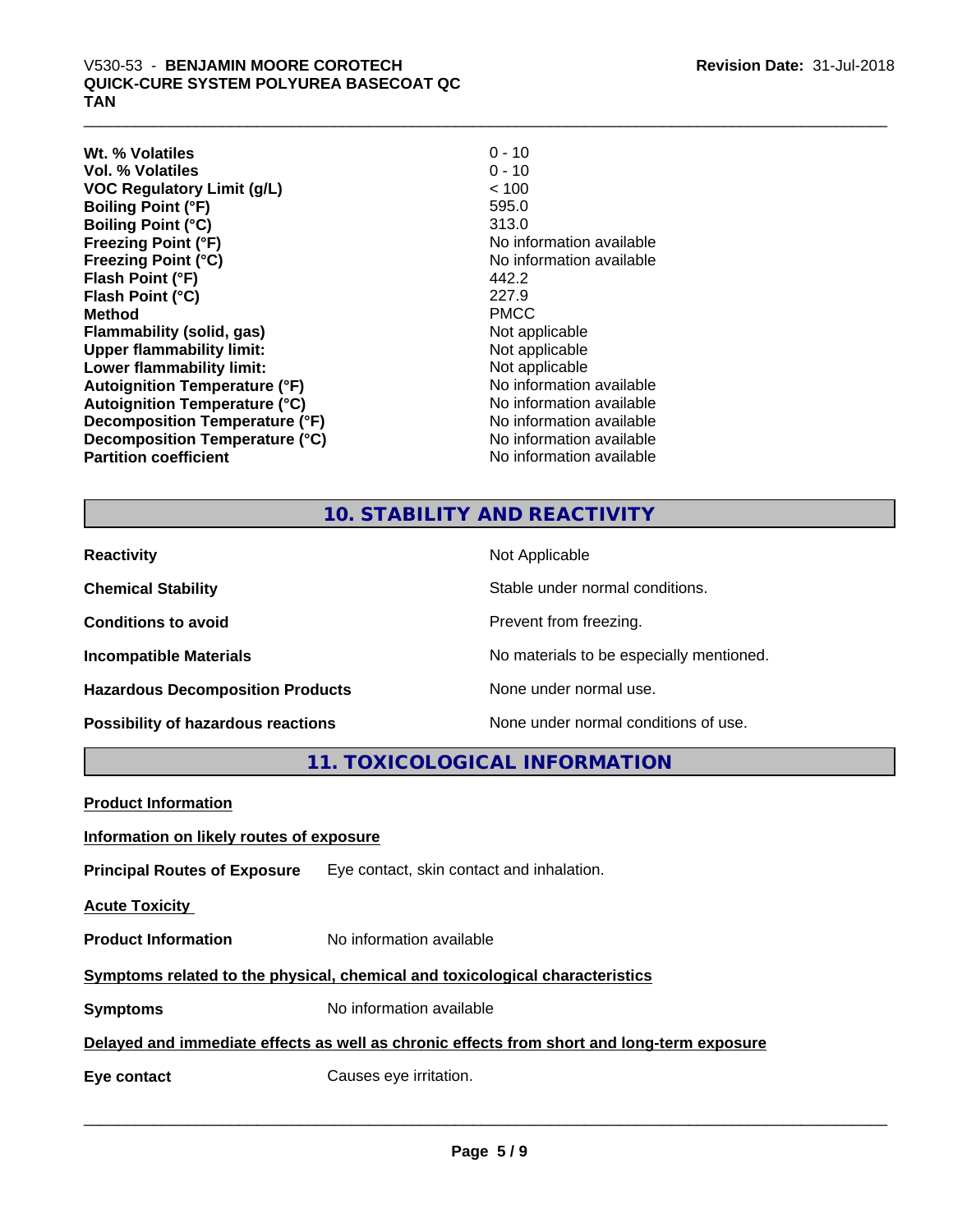## V530-53 - BENJAMIN MOORE COROTECH<br>QUICK-CURE SYSTEM POLYUREA BASECOAT QC<br>TAN **QUICK-CURE SYSTEM POLYUREA BASECOAT QC TAN**

**Wt. % Volatiles** 0 - 10<br> **Vol. % Volatiles** 0 - 10 **Vol. % Volatiles VOC Regulatory Limit (g/L)** < 100 **Boiling Point (°F) Boiling Point (°C)** 313.0 **Freezing Point (°F)**<br> **Freezing Point (°C)**<br> **Freezing Point (°C)**<br> **No information available Flash Point (°F) Flash Point (°C)** 227.9 **Method** PMCC **Flammability (solid, gas)** Not applicable **Upper flammability limit:**<br> **Lower flammability limit:**<br>
Not applicable<br>
Not applicable **Lower flammability limit:**<br> **Autoignition Temperature (°F)**<br>
Mo information available **Autoignition Temperature (°F)**<br> **Autoignition Temperature (°C)** 
<br> **Autoignition Temperature (°C)** 
<br> **Autoignition Temperature (°C) Autoignition Temperature (°C)**<br> **Decomposition Temperature (°F)** No information available **Decomposition Temperature (°F) Decomposition Temperature (°C)** No information available **Partition coefficient Contract Contract Contract Contract Contract Contract Contract Contract Contract Contract Contract Contract Contract Contract Contract Contract Contract Contract Contract Contract Contract Contract** 

No information available 442.2

## **10. STABILITY AND REACTIVITY**

| <b>Reactivity</b>                         | Not Applicable                           |
|-------------------------------------------|------------------------------------------|
| <b>Chemical Stability</b>                 | Stable under normal conditions.          |
| <b>Conditions to avoid</b>                | Prevent from freezing.                   |
| <b>Incompatible Materials</b>             | No materials to be especially mentioned. |
| <b>Hazardous Decomposition Products</b>   | None under normal use.                   |
| <b>Possibility of hazardous reactions</b> | None under normal conditions of use.     |

**11. TOXICOLOGICAL INFORMATION**

| <b>Product Information</b>               |                                                                                            |  |  |
|------------------------------------------|--------------------------------------------------------------------------------------------|--|--|
| Information on likely routes of exposure |                                                                                            |  |  |
|                                          | <b>Principal Routes of Exposure</b> Eye contact, skin contact and inhalation.              |  |  |
| <b>Acute Toxicity</b>                    |                                                                                            |  |  |
| <b>Product Information</b>               | No information available                                                                   |  |  |
|                                          | Symptoms related to the physical, chemical and toxicological characteristics               |  |  |
| <b>Symptoms</b>                          | No information available                                                                   |  |  |
|                                          | Delayed and immediate effects as well as chronic effects from short and long-term exposure |  |  |
| Eye contact                              | Causes eye irritation.                                                                     |  |  |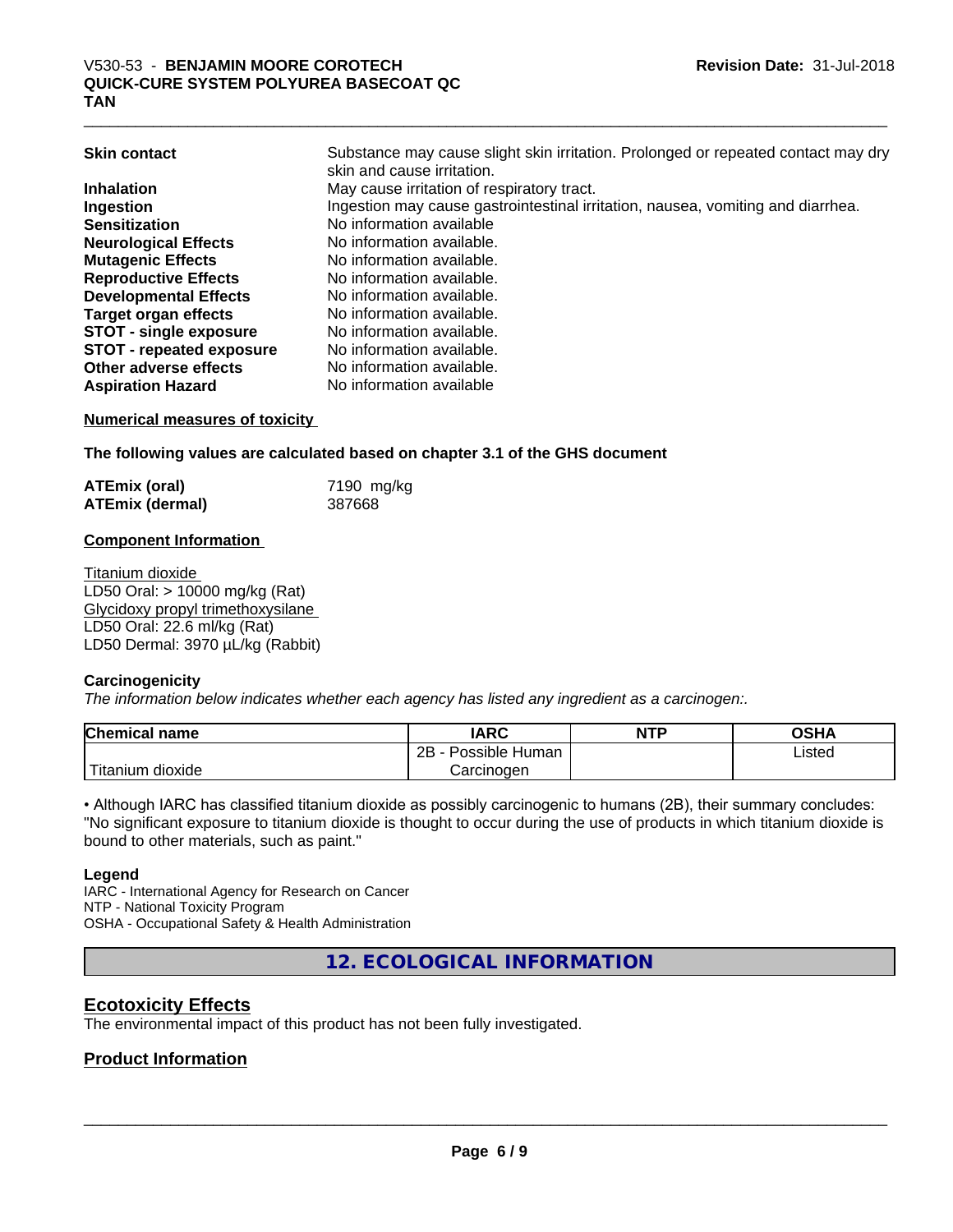| <b>Skin contact</b>             | Substance may cause slight skin irritation. Prolonged or repeated contact may dry<br>skin and cause irritation. |
|---------------------------------|-----------------------------------------------------------------------------------------------------------------|
| <b>Inhalation</b>               | May cause irritation of respiratory tract.                                                                      |
| Ingestion                       | Ingestion may cause gastrointestinal irritation, nausea, vomiting and diarrhea.                                 |
| <b>Sensitization</b>            | No information available                                                                                        |
| <b>Neurological Effects</b>     | No information available.                                                                                       |
| <b>Mutagenic Effects</b>        | No information available.                                                                                       |
| <b>Reproductive Effects</b>     | No information available.                                                                                       |
| <b>Developmental Effects</b>    | No information available.                                                                                       |
| <b>Target organ effects</b>     | No information available.                                                                                       |
| <b>STOT - single exposure</b>   | No information available.                                                                                       |
| <b>STOT - repeated exposure</b> | No information available.                                                                                       |
| Other adverse effects           | No information available.                                                                                       |
| <b>Aspiration Hazard</b>        | No information available                                                                                        |
|                                 |                                                                                                                 |

#### **Numerical measures of toxicity**

**The following values are calculated based on chapter 3.1 of the GHS document**

| <b>ATEmix (oral)</b>   | 7190 mg/kg |
|------------------------|------------|
| <b>ATEmix (dermal)</b> | 387668     |

#### **Component Information**

Titanium dioxide LD50 Oral: > 10000 mg/kg (Rat) Glycidoxy propyl trimethoxysilane LD50 Oral: 22.6 ml/kg (Rat) LD50 Dermal: 3970 µL/kg (Rabbit)

#### **Carcinogenicity**

*The information below indicateswhether each agency has listed any ingredient as a carcinogen:.*

| <b>Chemical name</b>      | <b>IARC</b>               | <b>NTP</b> | <b>OSHA</b> |
|---------------------------|---------------------------|------------|-------------|
|                           | .<br>2B<br>Possible Human |            | Listed      |
| $'$ Titanium<br>dioxide ו | Carcinoɑen                |            |             |

• Although IARC has classified titanium dioxide as possibly carcinogenic to humans (2B), their summary concludes: "No significant exposure to titanium dioxide is thought to occur during the use of products in which titanium dioxide is bound to other materials, such as paint."

#### **Legend**

IARC - International Agency for Research on Cancer NTP - National Toxicity Program OSHA - Occupational Safety & Health Administration

**12. ECOLOGICAL INFORMATION**

## **Ecotoxicity Effects**

The environmental impact of this product has not been fully investigated.

## **Product Information**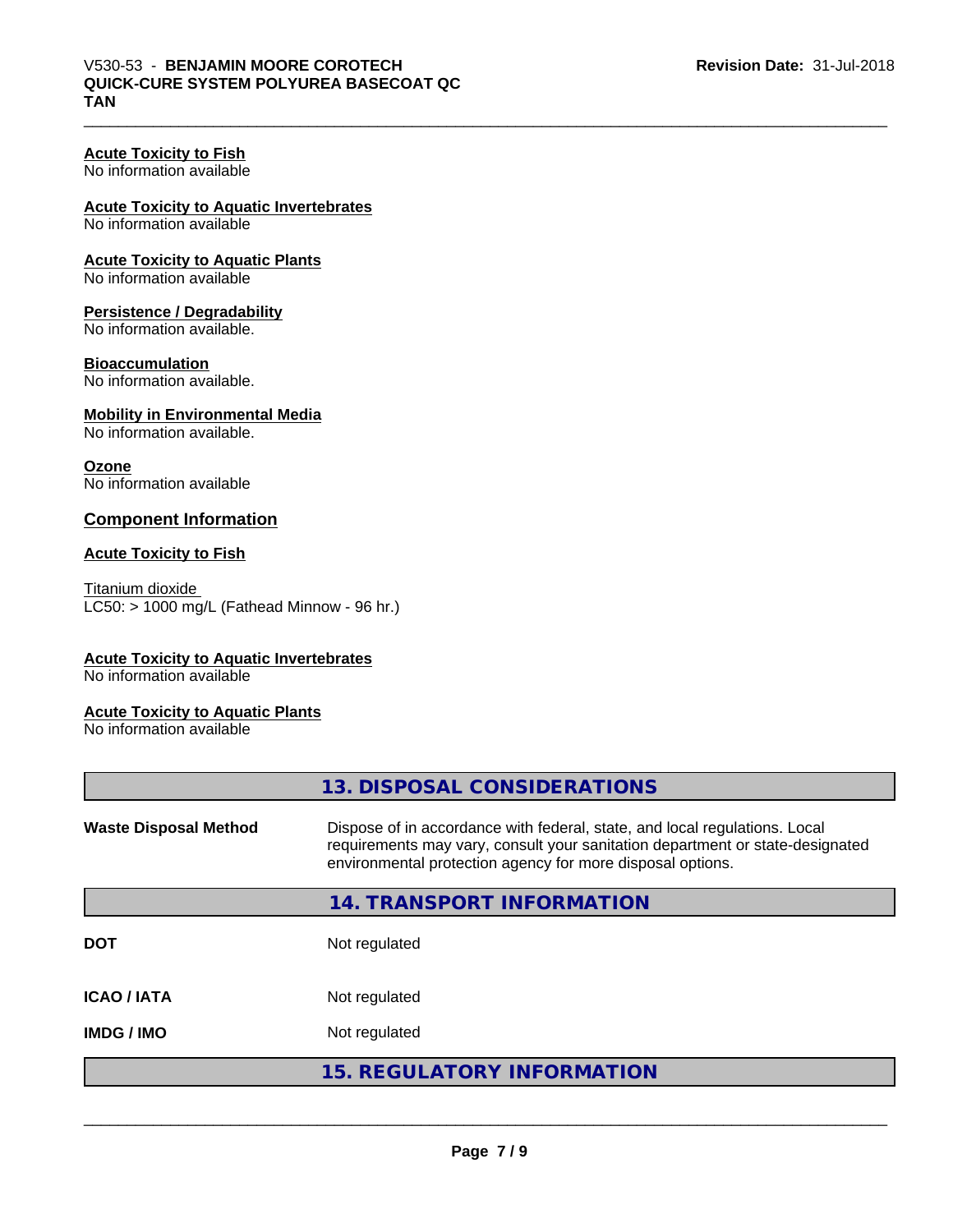#### **Acute Toxicity to Fish** No information available

## **Acute Toxicity to Aquatic Invertebrates**

No information available

# **Acute Toxicity to Aquatic Plants**

No information available

#### **Persistence / Degradability**

No information available.

#### **Bioaccumulation**

No information available.

#### **Mobility in Environmental Media**

No information available.

#### **Ozone**

No information available

## **Component Information**

#### **Acute Toxicity to Fish**

Titanium dioxide  $LC50:$  > 1000 mg/L (Fathead Minnow - 96 hr.)

## **Acute Toxicity to Aquatic Invertebrates**

No information available

#### **Acute Toxicity to Aquatic Plants**

No information available

|                              | 13. DISPOSAL CONSIDERATIONS                                                                                                                                                                                               |
|------------------------------|---------------------------------------------------------------------------------------------------------------------------------------------------------------------------------------------------------------------------|
| <b>Waste Disposal Method</b> | Dispose of in accordance with federal, state, and local regulations. Local<br>requirements may vary, consult your sanitation department or state-designated<br>environmental protection agency for more disposal options. |
|                              | 14. TRANSPORT INFORMATION                                                                                                                                                                                                 |
| <b>DOT</b>                   | Not regulated                                                                                                                                                                                                             |
| <b>ICAO/IATA</b>             | Not regulated                                                                                                                                                                                                             |
| <b>IMDG/IMO</b>              | Not regulated                                                                                                                                                                                                             |
|                              | <b>15. REGULATORY INFORMATION</b>                                                                                                                                                                                         |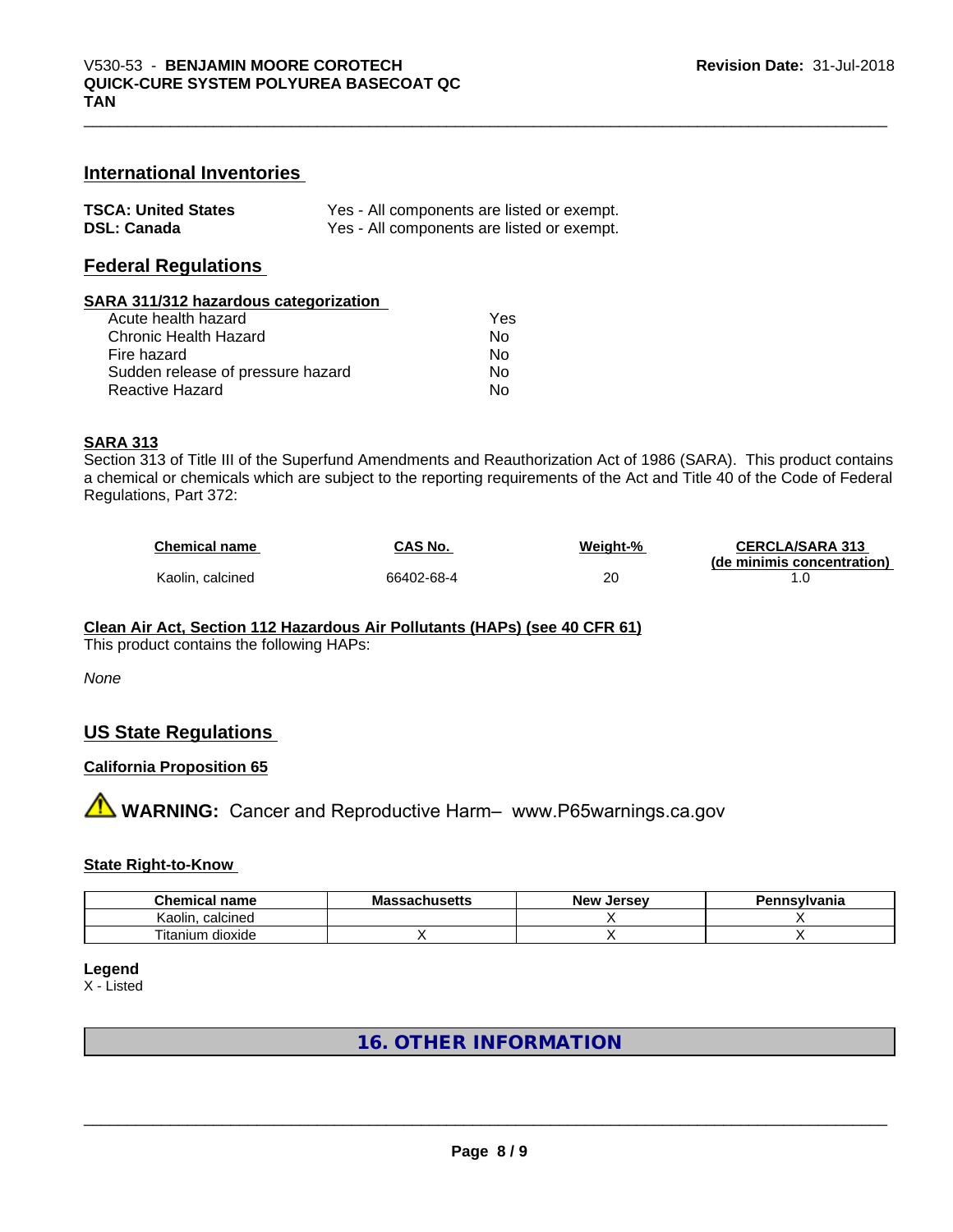## **International Inventories**

| <b>TSCA: United States</b> | Yes - All components are listed or exempt. |
|----------------------------|--------------------------------------------|
| <b>DSL: Canada</b>         | Yes - All components are listed or exempt. |

## **Federal Regulations**

#### **SARA 311/312 hazardous categorization**

| Acute health hazard               | Yes |
|-----------------------------------|-----|
| Chronic Health Hazard             | Nο  |
| Fire hazard                       | N٥  |
| Sudden release of pressure hazard | Nο  |
| Reactive Hazard                   | N٥  |

#### **SARA 313**

Section 313 of Title III of the Superfund Amendments and Reauthorization Act of 1986 (SARA). This product contains a chemical or chemicals which are subject to the reporting requirements of the Act and Title 40 of the Code of Federal Regulations, Part 372:

| <b>Chemical name</b> | CAS No.    | Weight-% | <b>CERCLA/SARA 313</b>     |
|----------------------|------------|----------|----------------------------|
|                      |            |          | (de minimis concentration) |
| Kaolin, calcined     | 66402-68-4 | 20       |                            |

## **Clean Air Act,Section 112 Hazardous Air Pollutants (HAPs) (see 40 CFR 61)**

This product contains the following HAPs:

*None*

## **US State Regulations**

## **California Proposition 65**

**AVIMARNING:** Cancer and Reproductive Harm– www.P65warnings.ca.gov

#### **State Right-to-Know**

| ^'<br>$.$ nor $.$<br>$\sim$<br>пане                        | IVIC<br>.u350. | <b>IALCAL</b><br>Ne۱<br><br>$\sim$ | anıa |
|------------------------------------------------------------|----------------|------------------------------------|------|
| coloinod<br>Kaolir<br>11611160<br>$\overline{\phantom{a}}$ |                |                                    |      |
| --<br><br>dioxide<br>ın<br>itanii                          |                |                                    |      |

#### **Legend**

X - Listed

## **16. OTHER INFORMATION**